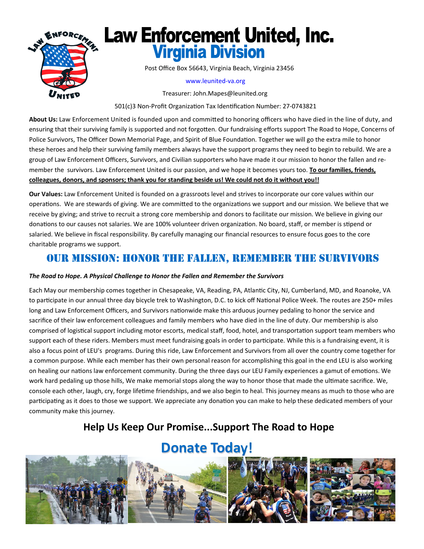

Post Office Box 56643, Virginia Beach, Virginia 23456

#### www.leunited‐va.org

Treasurer: John.Mapes@leunited.org

501(c)3 Non-Profit Organization Tax Identification Number: 27-0743821

About Us: Law Enforcement United is founded upon and committed to honoring officers who have died in the line of duty, and ensuring that their surviving family is supported and not forgotten. Our fundraising efforts support The Road to Hope, Concerns of Police Survivors, The Officer Down Memorial Page, and Spirit of Blue Foundation. Together we will go the extra mile to honor these heroes and help their surviving family members always have the support programs they need to begin to rebuild. We are a group of Law Enforcement Officers, Survivors, and Civilian supporters who have made it our mission to honor the fallen and re‐ member the survivors. Law Enforcement United is our passion, and we hope it becomes yours too. **To our families, friends, colleagues, donors, and sponsors; thank you for standing beside us! We could not do it without you!!** 

**Our Values:** Law Enforcement United is founded on a grassroots level and strives to incorporate our core values within our operations. We are stewards of giving. We are committed to the organizations we support and our mission. We believe that we receive by giving; and strive to recruit a strong core membership and donors to facilitate our mission. We believe in giving our donations to our causes not salaries. We are 100% volunteer driven organization. No board, staff, or member is stipend or salaried. We believe in fiscal responsibility. By carefully managing our financial resources to ensure focus goes to the core charitable programs we support.

# OUR MISSION: HONOR THE FALLEN, REMEMBER THE SURVIVORS

#### *The Road to Hope. A Physical Challenge to Honor the Fallen and Remember the Survivors*

Each May our membership comes together in Chesapeake, VA, Reading, PA, Atlantic City, NJ, Cumberland, MD, and Roanoke, VA to participate in our annual three day bicycle trek to Washington, D.C. to kick off National Police Week. The routes are 250+ miles long and Law Enforcement Officers, and Survivors nationwide make this arduous journey pedaling to honor the service and sacrifice of their law enforcement colleagues and family members who have died in the line of duty. Our membership is also comprised of logistical support including motor escorts, medical staff, food, hotel, and transportation support team members who support each of these riders. Members must meet fundraising goals in order to participate. While this is a fundraising event, it is also a focus point of LEU's programs. During this ride, Law Enforcement and Survivors from all over the country come together for a common purpose. While each member has their own personal reason for accomplishing this goal in the end LEU is also working on healing our nations law enforcement community. During the three days our LEU Family experiences a gamut of emotions. We work hard pedaling up those hills, We make memorial stops along the way to honor those that made the ultimate sacrifice. We, console each other, laugh, cry, forge lifetime friendships, and we also begin to heal. This journey means as much to those who are participating as it does to those we support. We appreciate any donation you can make to help these dedicated members of your community make this journey.

# **Help Us Keep Our Promise...Support The Road to Hope**

# **Donate Today!**

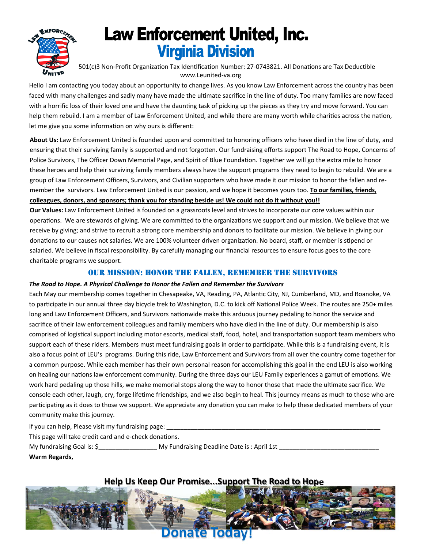

501(c)3 Non-Profit Organization Tax Identification Number: 27-0743821. All Donations are Tax Deductible www.Leunited‐va.org

Hello I am contacting you today about an opportunity to change lives. As you know Law Enforcement across the country has been faced with many challenges and sadly many have made the ultimate sacrifice in the line of duty. Too many families are now faced with a horrific loss of their loved one and have the daunting task of picking up the pieces as they try and move forward. You can help them rebuild. I am a member of Law Enforcement United, and while there are many worth while charities across the nation, let me give you some information on why ours is different:

About Us: Law Enforcement United is founded upon and committed to honoring officers who have died in the line of duty, and ensuring that their surviving family is supported and not forgotten. Our fundraising efforts support The Road to Hope, Concerns of Police Survivors, The Officer Down Memorial Page, and Spirit of Blue Foundation. Together we will go the extra mile to honor these heroes and help their surviving family members always have the support programs they need to begin to rebuild. We are a group of Law Enforcement Officers, Survivors, and Civilian supporters who have made it our mission to honor the fallen and re‐ member the survivors. Law Enforcement United is our passion, and we hope it becomes yours too. **To our families, friends, colleagues, donors, and sponsors; thank you for standing beside us! We could not do it without you!!** 

**Our Values:** Law Enforcement United is founded on a grassroots level and strives to incorporate our core values within our operations. We are stewards of giving. We are committed to the organizations we support and our mission. We believe that we receive by giving; and strive to recruit a strong core membership and donors to facilitate our mission. We believe in giving our donations to our causes not salaries. We are 100% volunteer driven organization. No board, staff, or member is stipend or salaried. We believe in fiscal responsibility. By carefully managing our financial resources to ensure focus goes to the core charitable programs we support.

### OUR MISSION: HONOR THE FALLEN, REMEMBER THE SURVIVORS

#### *The Road to Hope. A Physical Challenge to Honor the Fallen and Remember the Survivors*

Each May our membership comes together in Chesapeake, VA, Reading, PA, Atlantic City, NJ, Cumberland, MD, and Roanoke, VA to participate in our annual three day bicycle trek to Washington, D.C. to kick off National Police Week. The routes are 250+ miles long and Law Enforcement Officers, and Survivors nationwide make this arduous journey pedaling to honor the service and sacrifice of their law enforcement colleagues and family members who have died in the line of duty. Our membership is also comprised of logistical support including motor escorts, medical staff, food, hotel, and transportation support team members who support each of these riders. Members must meet fundraising goals in order to participate. While this is a fundraising event, it is also a focus point of LEU's programs. During this ride, Law Enforcement and Survivors from all over the country come together for a common purpose. While each member has their own personal reason for accomplishing this goal in the end LEU is also working on healing our nations law enforcement community. During the three days our LEU Family experiences a gamut of emotions. We work hard pedaling up those hills, we make memorial stops along the way to honor those that made the ultimate sacrifice. We console each other, laugh, cry, forge lifetime friendships, and we also begin to heal. This journey means as much to those who are participating as it does to those we support. We appreciate any donation you can make to help these dedicated members of your community make this journey.

If you can help, Please visit my fundraising page:

This page will take credit card and e-check donations.

My fundraising Goal is: \$\_\_\_\_\_\_\_\_\_\_\_\_\_\_\_\_\_ My Fundraising Deadline Date is : April 1st \_\_\_\_\_\_\_\_\_\_\_\_\_\_\_\_\_\_\_\_\_\_\_\_\_\_\_\_\_

**Warm Regards,** 

### **Help Us Keep Our Promise...Support The Road to Hope**

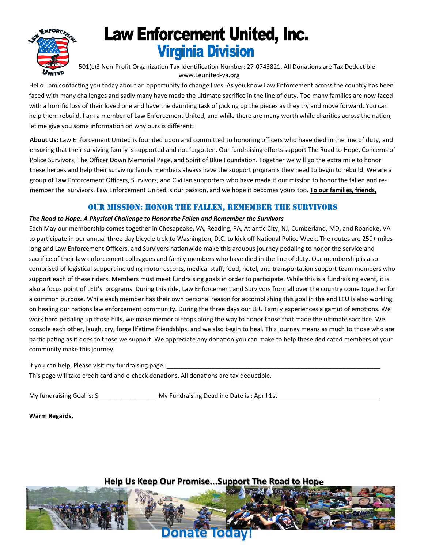

501(c)3 Non-Profit Organization Tax Identification Number: 27-0743821. All Donations are Tax Deductible www.Leunited‐va.org

Hello I am contacting you today about an opportunity to change lives. As you know Law Enforcement across the country has been faced with many challenges and sadly many have made the ultimate sacrifice in the line of duty. Too many families are now faced with a horrific loss of their loved one and have the daunting task of picking up the pieces as they try and move forward. You can help them rebuild. I am a member of Law Enforcement United, and while there are many worth while charities across the nation, let me give you some information on why ours is different:

About Us: Law Enforcement United is founded upon and committed to honoring officers who have died in the line of duty, and ensuring that their surviving family is supported and not forgotten. Our fundraising efforts support The Road to Hope, Concerns of Police Survivors, The Officer Down Memorial Page, and Spirit of Blue Foundation. Together we will go the extra mile to honor these heroes and help their surviving family members always have the support programs they need to begin to rebuild. We are a group of Law Enforcement Officers, Survivors, and Civilian supporters who have made it our mission to honor the fallen and re‐ member the survivors. Law Enforcement United is our passion, and we hope it becomes yours too. **To our families, friends,** 

### OUR MISSION: HONOR THE FALLEN, REMEMBER THE SURVIVORS

#### *The Road to Hope. A Physical Challenge to Honor the Fallen and Remember the Survivors*

Each May our membership comes together in Chesapeake, VA, Reading, PA, Atlantic City, NJ, Cumberland, MD, and Roanoke, VA to participate in our annual three day bicycle trek to Washington, D.C. to kick off National Police Week. The routes are 250+ miles long and Law Enforcement Officers, and Survivors nationwide make this arduous journey pedaling to honor the service and sacrifice of their law enforcement colleagues and family members who have died in the line of duty. Our membership is also comprised of logistical support including motor escorts, medical staff, food, hotel, and transportation support team members who support each of these riders. Members must meet fundraising goals in order to participate. While this is a fundraising event, it is also a focus point of LEU's programs. During this ride, Law Enforcement and Survivors from all over the country come together for a common purpose. While each member has their own personal reason for accomplishing this goal in the end LEU is also working on healing our nations law enforcement community. During the three days our LEU Family experiences a gamut of emotions. We work hard pedaling up those hills, we make memorial stops along the way to honor those that made the ultimate sacrifice. We console each other, laugh, cry, forge lifetime friendships, and we also begin to heal. This journey means as much to those who are participating as it does to those we support. We appreciate any donation you can make to help these dedicated members of your community make this journey.

If you can help, Please visit my fundraising page: This page will take credit card and e-check donations. All donations are tax deductible.

My fundraising Goal is: \$\_\_\_\_\_\_\_\_\_\_\_\_\_\_\_\_\_ My Fundraising Deadline Date is : April 1st \_\_\_\_\_\_\_\_\_\_\_\_\_\_\_\_\_\_\_\_\_\_\_\_\_\_\_\_\_

**Warm Regards,** 

### **Help Us Keep Our Promise...Support The Road to Hope**

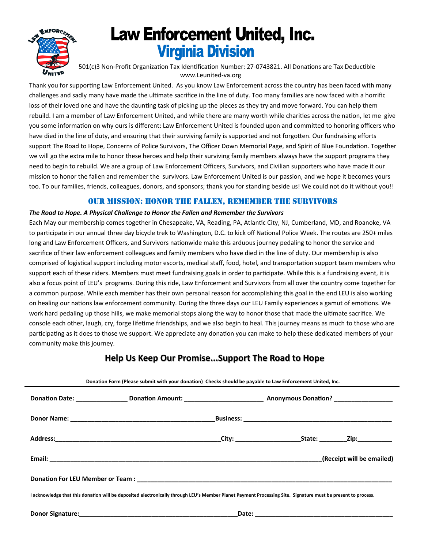

501(c)3 Non-Profit Organization Tax Identification Number: 27-0743821. All Donations are Tax Deductible www.Leunited-va.org

Thank you for supporting Law Enforcement United. As you know Law Enforcement across the country has been faced with many challenges and sadly many have made the ultimate sacrifice in the line of duty. Too many families are now faced with a horrific loss of their loved one and have the daunting task of picking up the pieces as they try and move forward. You can help them rebuild. I am a member of Law Enforcement United, and while there are many worth while charities across the nation, let me give you some information on why ours is different: Law Enforcement United is founded upon and committed to honoring officers who have died in the line of duty, and ensuring that their surviving family is supported and not forgotten. Our fundraising efforts support The Road to Hope, Concerns of Police Survivors, The Officer Down Memorial Page, and Spirit of Blue Foundation. Together we will go the extra mile to honor these heroes and help their surviving family members always have the support programs they need to begin to rebuild. We are a group of Law Enforcement Officers, Survivors, and Civilian supporters who have made it our mission to honor the fallen and remember the survivors. Law Enforcement United is our passion, and we hope it becomes yours too. To our families, friends, colleagues, donors, and sponsors; thank you for standing beside us! We could not do it without you!!

### **OUR MISSION: HONOR THE FALLEN, REMEMBER THE SURVIVORS**

#### The Road to Hope. A Physical Challenge to Honor the Fallen and Remember the Survivors

Each May our membership comes together in Chesapeake, VA, Reading, PA, Atlantic City, NJ, Cumberland, MD, and Roanoke, VA to participate in our annual three day bicycle trek to Washington, D.C. to kick off National Police Week. The routes are 250+ miles long and Law Enforcement Officers, and Survivors nationwide make this arduous journey pedaling to honor the service and sacrifice of their law enforcement colleagues and family members who have died in the line of duty. Our membership is also comprised of logistical support including motor escorts, medical staff, food, hotel, and transportation support team members who support each of these riders. Members must meet fundraising goals in order to participate. While this is a fundraising event, it is also a focus point of LEU's programs. During this ride, Law Enforcement and Survivors from all over the country come together for a common purpose. While each member has their own personal reason for accomplishing this goal in the end LEU is also working on healing our nations law enforcement community. During the three days our LEU Family experiences a gamut of emotions. We work hard pedaling up those hills, we make memorial stops along the way to honor those that made the ultimate sacrifice. We console each other, laugh, cry, forge lifetime friendships, and we also begin to heal. This journey means as much to those who are participating as it does to those we support. We appreciate any donation you can make to help these dedicated members of your community make this journey.

### Help Us Keep Our Promise...Support The Road to Hope

| Donation Form (Please submit with your donation) Checks should be payable to Law Enforcement United, Inc.                                                    |       |  |                           |
|--------------------------------------------------------------------------------------------------------------------------------------------------------------|-------|--|---------------------------|
| Donation Date: ___________________Donation Amount: _____________________________ Anonymous Donation? ________________                                        |       |  |                           |
|                                                                                                                                                              |       |  |                           |
|                                                                                                                                                              |       |  |                           |
|                                                                                                                                                              |       |  | (Receipt will be emailed) |
|                                                                                                                                                              |       |  |                           |
| I acknowledge that this donation will be deposited electronically through LEU's Member Planet Payment Processing Site. Signature must be present to process. |       |  |                           |
| <b>Donor Signature:</b>                                                                                                                                      | Date: |  |                           |